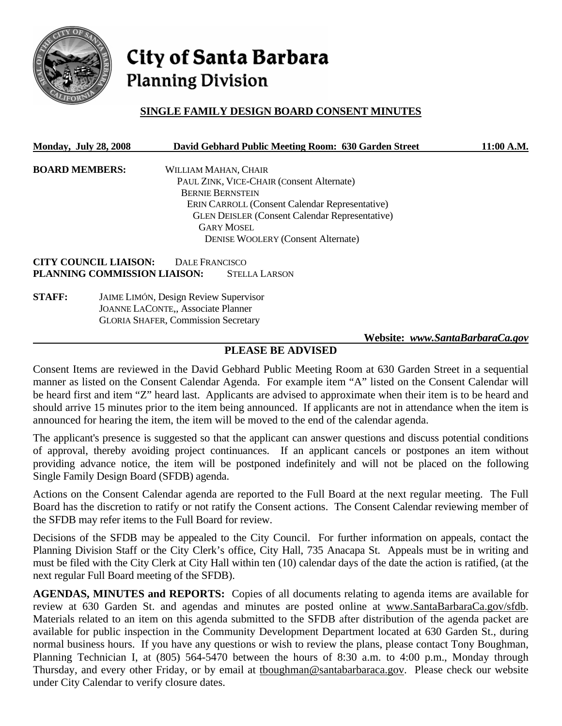

# City of Santa Barbara **Planning Division**

## **SINGLE FAMILY DESIGN BOARD CONSENT MINUTES**

| <b>Monday, July 28, 2008</b> |                                              |                | David Gebhard Public Meeting Room: 630 Garden Street  | 11:00 A.M.                      |  |
|------------------------------|----------------------------------------------|----------------|-------------------------------------------------------|---------------------------------|--|
| <b>BOARD MEMBERS:</b>        |                                              |                | WILLIAM MAHAN, CHAIR                                  |                                 |  |
|                              |                                              |                | PAUL ZINK, VICE-CHAIR (Consent Alternate)             |                                 |  |
|                              |                                              |                | <b>BERNIE BERNSTEIN</b>                               |                                 |  |
|                              |                                              |                | <b>ERIN CARROLL (Consent Calendar Representative)</b> |                                 |  |
|                              |                                              |                | <b>GLEN DEISLER (Consent Calendar Representative)</b> |                                 |  |
|                              |                                              |                | <b>GARY MOSEL</b>                                     |                                 |  |
|                              |                                              |                | <b>DENISE WOOLERY (Consent Alternate)</b>             |                                 |  |
|                              | <b>CITY COUNCIL LIAISON:</b>                 | DALE FRANCISCO |                                                       |                                 |  |
|                              | PLANNING COMMISSION LIAISON:                 |                | <b>STELLA LARSON</b>                                  |                                 |  |
| <b>STAFF:</b>                | <b>JAIME LIMÓN, Design Review Supervisor</b> |                |                                                       |                                 |  |
|                              | <b>JOANNE LACONTE,, Associate Planner</b>    |                |                                                       |                                 |  |
|                              | <b>GLORIA SHAFER, Commission Secretary</b>   |                |                                                       |                                 |  |
|                              |                                              |                |                                                       | Website: www.SantaBarbaraCa.gov |  |

## **PLEASE BE ADVISED**

Consent Items are reviewed in the David Gebhard Public Meeting Room at 630 Garden Street in a sequential manner as listed on the Consent Calendar Agenda. For example item "A" listed on the Consent Calendar will be heard first and item "Z" heard last. Applicants are advised to approximate when their item is to be heard and should arrive 15 minutes prior to the item being announced. If applicants are not in attendance when the item is announced for hearing the item, the item will be moved to the end of the calendar agenda.

The applicant's presence is suggested so that the applicant can answer questions and discuss potential conditions of approval, thereby avoiding project continuances. If an applicant cancels or postpones an item without providing advance notice, the item will be postponed indefinitely and will not be placed on the following Single Family Design Board (SFDB) agenda.

Actions on the Consent Calendar agenda are reported to the Full Board at the next regular meeting. The Full Board has the discretion to ratify or not ratify the Consent actions. The Consent Calendar reviewing member of the SFDB may refer items to the Full Board for review.

Decisions of the SFDB may be appealed to the City Council. For further information on appeals, contact the Planning Division Staff or the City Clerk's office, City Hall, 735 Anacapa St. Appeals must be in writing and must be filed with the City Clerk at City Hall within ten (10) calendar days of the date the action is ratified, (at the next regular Full Board meeting of the SFDB).

**AGENDAS, MINUTES and REPORTS:** Copies of all documents relating to agenda items are available for review at 630 Garden St. and agendas and minutes are posted online at www.SantaBarbaraCa.gov/sfdb. Materials related to an item on this agenda submitted to the SFDB after distribution of the agenda packet are available for public inspection in the Community Development Department located at 630 Garden St., during normal business hours. If you have any questions or wish to review the plans, please contact Tony Boughman, Planning Technician I, at (805) 564-5470 between the hours of 8:30 a.m. to 4:00 p.m., Monday through Thursday, and every other Friday, or by email at tboughman@santabarbaraca.gov. Please check our website under City Calendar to verify closure dates.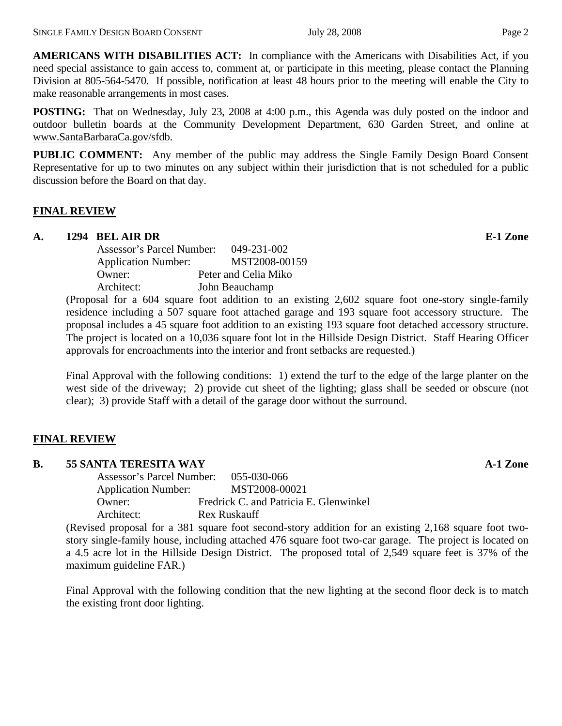**AMERICANS WITH DISABILITIES ACT:** In compliance with the Americans with Disabilities Act, if you need special assistance to gain access to, comment at, or participate in this meeting, please contact the Planning Division at 805-564-5470. If possible, notification at least 48 hours prior to the meeting will enable the City to make reasonable arrangements in most cases.

**POSTING:** That on Wednesday, July 23, 2008 at 4:00 p.m., this Agenda was duly posted on the indoor and outdoor bulletin boards at the Community Development Department, 630 Garden Street, and online at www.SantaBarbaraCa.gov/sfdb.

**PUBLIC COMMENT:** Any member of the public may address the Single Family Design Board Consent Representative for up to two minutes on any subject within their jurisdiction that is not scheduled for a public discussion before the Board on that day.

#### **FINAL REVIEW**

#### **A. 1294 BEL AIR DR E-1 Zone**

| Assessor's Parcel Number:  | 049-231-002          |
|----------------------------|----------------------|
| <b>Application Number:</b> | MST2008-00159        |
| Owner:                     | Peter and Celia Miko |
| Architect:                 | John Beauchamp       |
|                            |                      |

(Proposal for a 604 square foot addition to an existing 2,602 square foot one-story single-family residence including a 507 square foot attached garage and 193 square foot accessory structure. The proposal includes a 45 square foot addition to an existing 193 square foot detached accessory structure. The project is located on a 10,036 square foot lot in the Hillside Design District. Staff Hearing Officer approvals for encroachments into the interior and front setbacks are requested.)

Final Approval with the following conditions: 1) extend the turf to the edge of the large planter on the west side of the driveway; 2) provide cut sheet of the lighting; glass shall be seeded or obscure (not clear); 3) provide Staff with a detail of the garage door without the surround.

#### **FINAL REVIEW**

#### **B. 55 SANTA TERESITA WAY A-1 Zone**

 Assessor's Parcel Number: 055-030-066 Application Number: MST2008-00021 Owner: Fredrick C. and Patricia E. Glenwinkel Architect: Rex Ruskauff

(Revised proposal for a 381 square foot second-story addition for an existing 2,168 square foot twostory single-family house, including attached 476 square foot two-car garage. The project is located on a 4.5 acre lot in the Hillside Design District. The proposed total of 2,549 square feet is 37% of the maximum guideline FAR.)

Final Approval with the following condition that the new lighting at the second floor deck is to match the existing front door lighting.